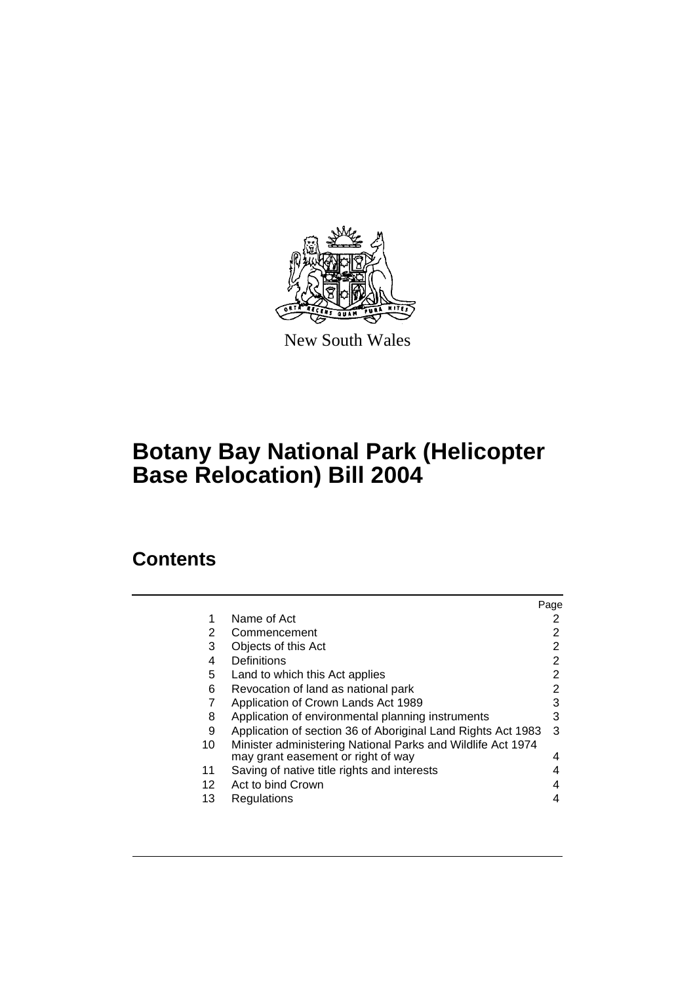

New South Wales

# **Botany Bay National Park (Helicopter Base Relocation) Bill 2004**

# **Contents**

|    |                                                              | Page           |
|----|--------------------------------------------------------------|----------------|
| 1  | Name of Act                                                  | 2              |
| 2  | Commencement                                                 | 2              |
| 3  | Objects of this Act                                          | 2              |
| 4  | Definitions                                                  | 2              |
| 5  | Land to which this Act applies                               | $\overline{2}$ |
| 6  | Revocation of land as national park                          | 2              |
|    | Application of Crown Lands Act 1989                          | 3              |
| 8  | Application of environmental planning instruments            | 3              |
| 9  | Application of section 36 of Aboriginal Land Rights Act 1983 | 3              |
| 10 | Minister administering National Parks and Wildlife Act 1974  |                |
|    | may grant easement or right of way                           | 4              |
| 11 | Saving of native title rights and interests                  | 4              |
| 12 | Act to bind Crown                                            | 4              |
| 13 | Regulations                                                  | 4              |
|    |                                                              |                |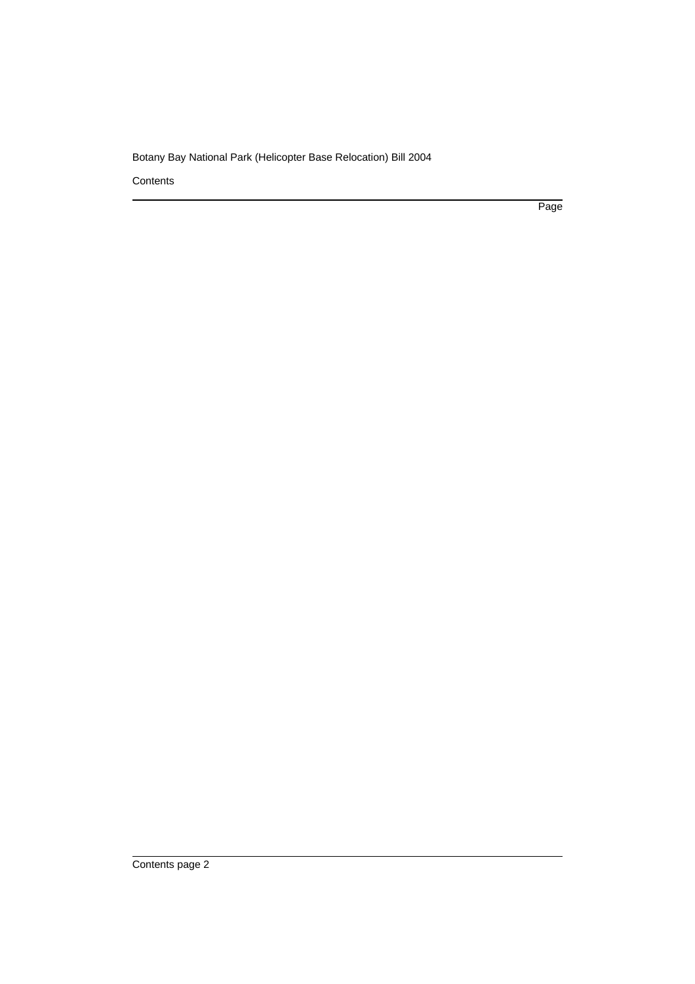Botany Bay National Park (Helicopter Base Relocation) Bill 2004

**Contents** 

Page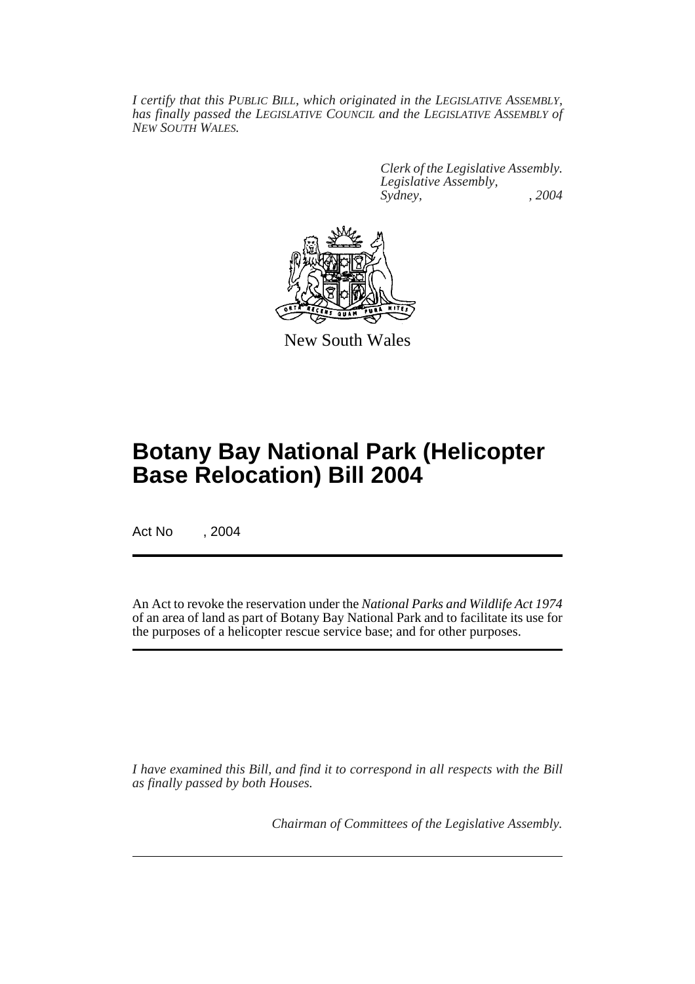*I certify that this PUBLIC BILL, which originated in the LEGISLATIVE ASSEMBLY, has finally passed the LEGISLATIVE COUNCIL and the LEGISLATIVE ASSEMBLY of NEW SOUTH WALES.*

> *Clerk of the Legislative Assembly. Legislative Assembly, Sydney, , 2004*



New South Wales

# **Botany Bay National Park (Helicopter Base Relocation) Bill 2004**

Act No , 2004

An Act to revoke the reservation under the *National Parks and Wildlife Act 1974* of an area of land as part of Botany Bay National Park and to facilitate its use for the purposes of a helicopter rescue service base; and for other purposes.

*I have examined this Bill, and find it to correspond in all respects with the Bill as finally passed by both Houses.*

*Chairman of Committees of the Legislative Assembly.*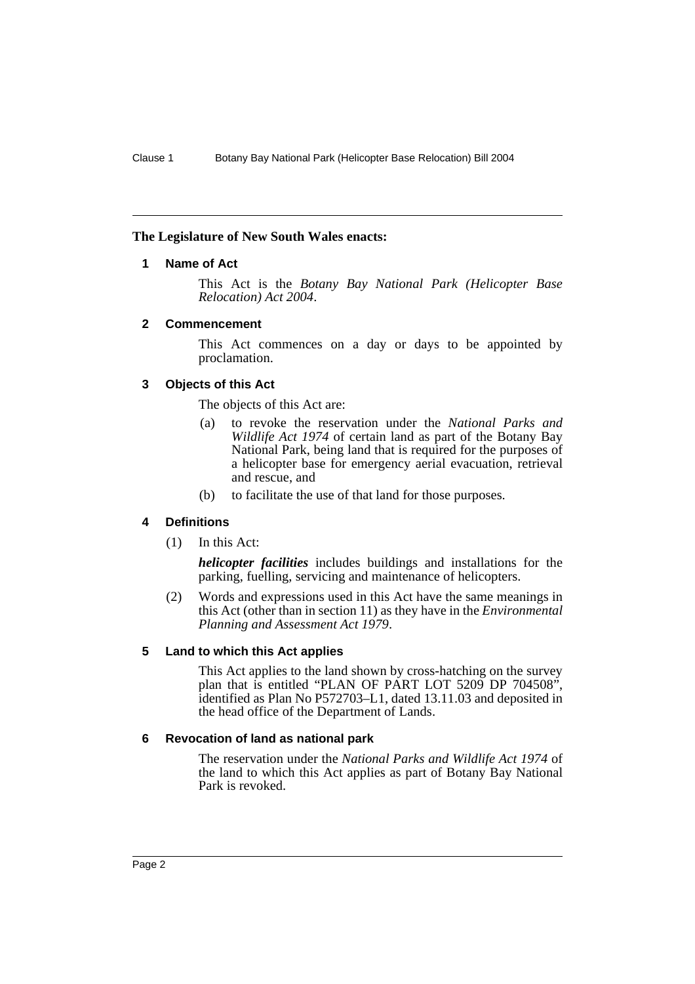#### **The Legislature of New South Wales enacts:**

## **1 Name of Act**

This Act is the *Botany Bay National Park (Helicopter Base Relocation) Act 2004*.

#### **2 Commencement**

This Act commences on a day or days to be appointed by proclamation.

### **3 Objects of this Act**

The objects of this Act are:

- (a) to revoke the reservation under the *National Parks and Wildlife Act 1974* of certain land as part of the Botany Bay National Park, being land that is required for the purposes of a helicopter base for emergency aerial evacuation, retrieval and rescue, and
- (b) to facilitate the use of that land for those purposes.

### **4 Definitions**

(1) In this Act:

*helicopter facilities* includes buildings and installations for the parking, fuelling, servicing and maintenance of helicopters.

(2) Words and expressions used in this Act have the same meanings in this Act (other than in section 11) as they have in the *Environmental Planning and Assessment Act 1979*.

### **5 Land to which this Act applies**

This Act applies to the land shown by cross-hatching on the survey plan that is entitled "PLAN OF PART LOT 5209 DP 704508", identified as Plan No P572703–L1, dated 13.11.03 and deposited in the head office of the Department of Lands.

### **6 Revocation of land as national park**

The reservation under the *National Parks and Wildlife Act 1974* of the land to which this Act applies as part of Botany Bay National Park is revoked.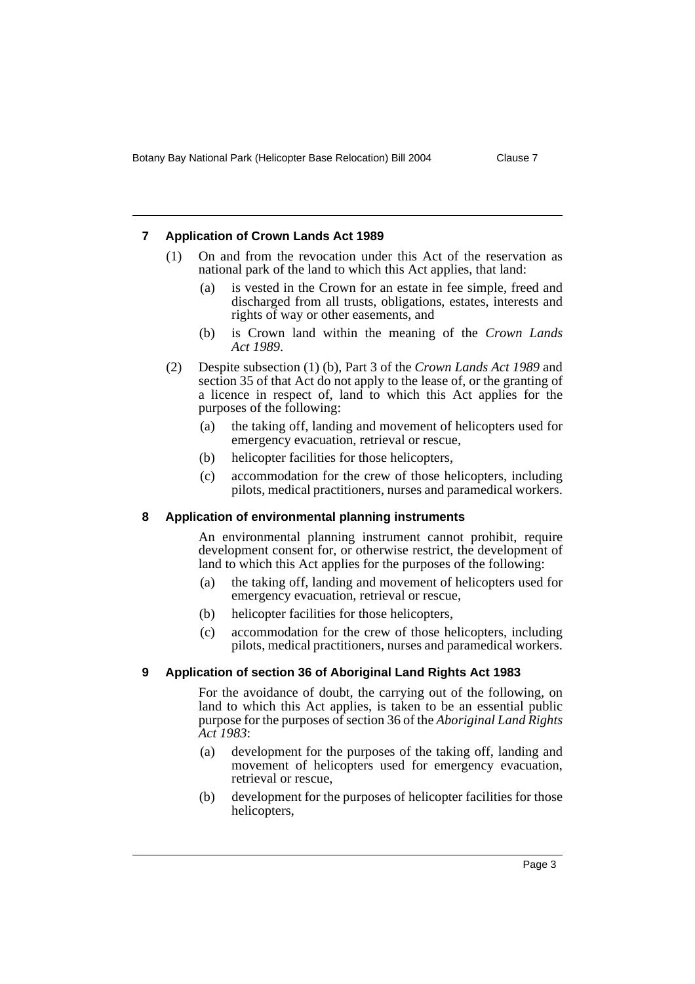#### **7 Application of Crown Lands Act 1989**

- (1) On and from the revocation under this Act of the reservation as national park of the land to which this Act applies, that land:
	- (a) is vested in the Crown for an estate in fee simple, freed and discharged from all trusts, obligations, estates, interests and rights of way or other easements, and
	- (b) is Crown land within the meaning of the *Crown Lands Act 1989*.
- (2) Despite subsection (1) (b), Part 3 of the *Crown Lands Act 1989* and section 35 of that Act do not apply to the lease of, or the granting of a licence in respect of, land to which this Act applies for the purposes of the following:
	- (a) the taking off, landing and movement of helicopters used for emergency evacuation, retrieval or rescue,
	- (b) helicopter facilities for those helicopters,
	- (c) accommodation for the crew of those helicopters, including pilots, medical practitioners, nurses and paramedical workers.

#### **8 Application of environmental planning instruments**

An environmental planning instrument cannot prohibit, require development consent for, or otherwise restrict, the development of land to which this Act applies for the purposes of the following:

- (a) the taking off, landing and movement of helicopters used for emergency evacuation, retrieval or rescue,
- (b) helicopter facilities for those helicopters,
- (c) accommodation for the crew of those helicopters, including pilots, medical practitioners, nurses and paramedical workers.

#### **9 Application of section 36 of Aboriginal Land Rights Act 1983**

For the avoidance of doubt, the carrying out of the following, on land to which this Act applies, is taken to be an essential public purpose for the purposes of section 36 of the *Aboriginal Land Rights Act 1983*:

- (a) development for the purposes of the taking off, landing and movement of helicopters used for emergency evacuation, retrieval or rescue,
- (b) development for the purposes of helicopter facilities for those helicopters,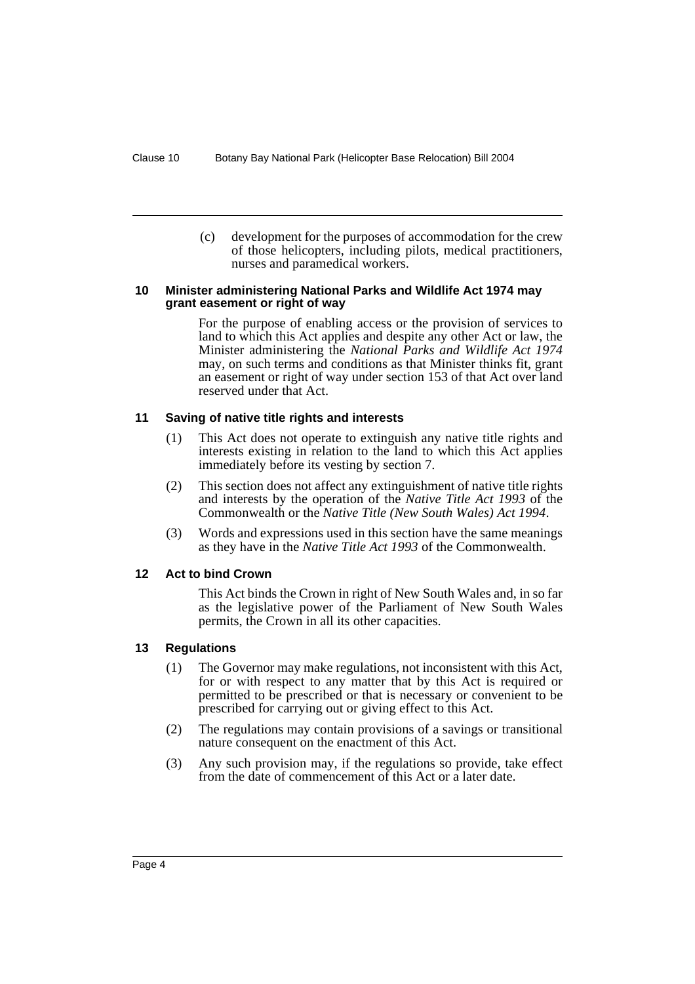(c) development for the purposes of accommodation for the crew of those helicopters, including pilots, medical practitioners, nurses and paramedical workers.

#### **10 Minister administering National Parks and Wildlife Act 1974 may grant easement or right of way**

For the purpose of enabling access or the provision of services to land to which this Act applies and despite any other Act or law, the Minister administering the *National Parks and Wildlife Act 1974* may, on such terms and conditions as that Minister thinks fit, grant an easement or right of way under section 153 of that Act over land reserved under that Act.

## **11 Saving of native title rights and interests**

- (1) This Act does not operate to extinguish any native title rights and interests existing in relation to the land to which this Act applies immediately before its vesting by section 7.
- (2) This section does not affect any extinguishment of native title rights and interests by the operation of the *Native Title Act 1993* of the Commonwealth or the *Native Title (New South Wales) Act 1994*.
- (3) Words and expressions used in this section have the same meanings as they have in the *Native Title Act 1993* of the Commonwealth.

### **12 Act to bind Crown**

This Act binds the Crown in right of New South Wales and, in so far as the legislative power of the Parliament of New South Wales permits, the Crown in all its other capacities.

## **13 Regulations**

- (1) The Governor may make regulations, not inconsistent with this Act, for or with respect to any matter that by this Act is required or permitted to be prescribed or that is necessary or convenient to be prescribed for carrying out or giving effect to this Act.
- (2) The regulations may contain provisions of a savings or transitional nature consequent on the enactment of this Act.
- (3) Any such provision may, if the regulations so provide, take effect from the date of commencement of this Act or a later date.